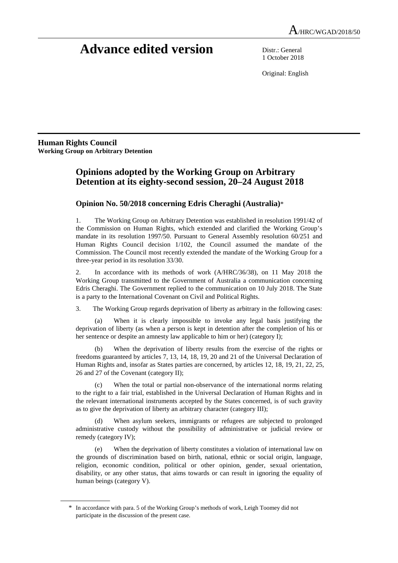# **Advance edited version** Distr.: General

1 October 2018

Original: English

**Human Rights Council Working Group on Arbitrary Detention** 

 $\overline{a}$ 

# **Opinions adopted by the Working Group on Arbitrary Detention at its eighty-second session, 20–24 August 2018**

## **Opinion No. 50/2018 concerning Edris Cheraghi (Australia)**\*

1. The Working Group on Arbitrary Detention was established in resolution 1991/42 of the Commission on Human Rights, which extended and clarified the Working Group's mandate in its resolution 1997/50. Pursuant to General Assembly resolution 60/251 and Human Rights Council decision 1/102, the Council assumed the mandate of the Commission. The Council most recently extended the mandate of the Working Group for a three-year period in its resolution 33/30.

2. In accordance with its methods of work (A/HRC/36/38), on 11 May 2018 the Working Group transmitted to the Government of Australia a communication concerning Edris Cheraghi. The Government replied to the communication on 10 July 2018. The State is a party to the International Covenant on Civil and Political Rights.

3. The Working Group regards deprivation of liberty as arbitrary in the following cases:

 (a) When it is clearly impossible to invoke any legal basis justifying the deprivation of liberty (as when a person is kept in detention after the completion of his or her sentence or despite an amnesty law applicable to him or her) (category I);

 (b) When the deprivation of liberty results from the exercise of the rights or freedoms guaranteed by articles 7, 13, 14, 18, 19, 20 and 21 of the Universal Declaration of Human Rights and, insofar as States parties are concerned, by articles 12, 18, 19, 21, 22, 25, 26 and 27 of the Covenant (category II);

 (c) When the total or partial non-observance of the international norms relating to the right to a fair trial, established in the Universal Declaration of Human Rights and in the relevant international instruments accepted by the States concerned, is of such gravity as to give the deprivation of liberty an arbitrary character (category III);

 (d) When asylum seekers, immigrants or refugees are subjected to prolonged administrative custody without the possibility of administrative or judicial review or remedy (category IV);

 (e) When the deprivation of liberty constitutes a violation of international law on the grounds of discrimination based on birth, national, ethnic or social origin, language, religion, economic condition, political or other opinion, gender, sexual orientation, disability, or any other status, that aims towards or can result in ignoring the equality of human beings (category V).

<sup>\*</sup> In accordance with para. 5 of the Working Group's methods of work, Leigh Toomey did not participate in the discussion of the present case.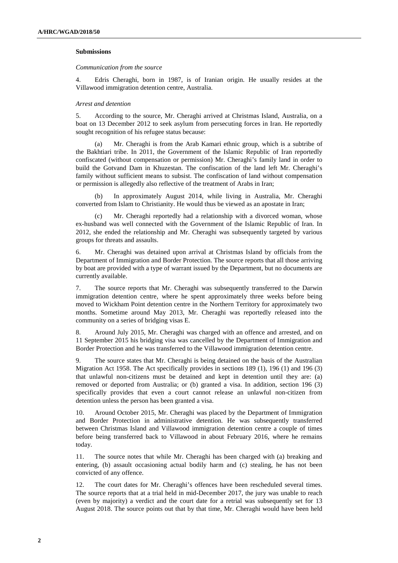#### **Submissions**

#### *Communication from the source*

4. Edris Cheraghi, born in 1987, is of Iranian origin. He usually resides at the Villawood immigration detention centre, Australia.

#### *Arrest and detention*

5. According to the source, Mr. Cheraghi arrived at Christmas Island, Australia, on a boat on 13 December 2012 to seek asylum from persecuting forces in Iran. He reportedly sought recognition of his refugee status because:

 (a) Mr. Cheraghi is from the Arab Kamari ethnic group, which is a subtribe of the Bakhtiari tribe. In 2011, the Government of the Islamic Republic of Iran reportedly confiscated (without compensation or permission) Mr. Cheraghi's family land in order to build the Gotvand Dam in Khuzestan. The confiscation of the land left Mr. Cheraghi's family without sufficient means to subsist. The confiscation of land without compensation or permission is allegedly also reflective of the treatment of Arabs in Iran;

 (b) In approximately August 2014, while living in Australia, Mr. Cheraghi converted from Islam to Christianity. He would thus be viewed as an apostate in Iran;

Mr. Cheraghi reportedly had a relationship with a divorced woman, whose ex-husband was well connected with the Government of the Islamic Republic of Iran. In 2012, she ended the relationship and Mr. Cheraghi was subsequently targeted by various groups for threats and assaults.

6. Mr. Cheraghi was detained upon arrival at Christmas Island by officials from the Department of Immigration and Border Protection. The source reports that all those arriving by boat are provided with a type of warrant issued by the Department, but no documents are currently available.

7. The source reports that Mr. Cheraghi was subsequently transferred to the Darwin immigration detention centre, where he spent approximately three weeks before being moved to Wickham Point detention centre in the Northern Territory for approximately two months. Sometime around May 2013, Mr. Cheraghi was reportedly released into the community on a series of bridging visas E.

8. Around July 2015, Mr. Cheraghi was charged with an offence and arrested, and on 11 September 2015 his bridging visa was cancelled by the Department of Immigration and Border Protection and he was transferred to the Villawood immigration detention centre.

9. The source states that Mr. Cheraghi is being detained on the basis of the Australian Migration Act 1958. The Act specifically provides in sections 189 (1), 196 (1) and 196 (3) that unlawful non-citizens must be detained and kept in detention until they are: (a) removed or deported from Australia; or (b) granted a visa. In addition, section 196 (3) specifically provides that even a court cannot release an unlawful non-citizen from detention unless the person has been granted a visa.

10. Around October 2015, Mr. Cheraghi was placed by the Department of Immigration and Border Protection in administrative detention. He was subsequently transferred between Christmas Island and Villawood immigration detention centre a couple of times before being transferred back to Villawood in about February 2016, where he remains today.

11. The source notes that while Mr. Cheraghi has been charged with (a) breaking and entering, (b) assault occasioning actual bodily harm and (c) stealing, he has not been convicted of any offence.

12. The court dates for Mr. Cheraghi's offences have been rescheduled several times. The source reports that at a trial held in mid-December 2017, the jury was unable to reach (even by majority) a verdict and the court date for a retrial was subsequently set for 13 August 2018. The source points out that by that time, Mr. Cheraghi would have been held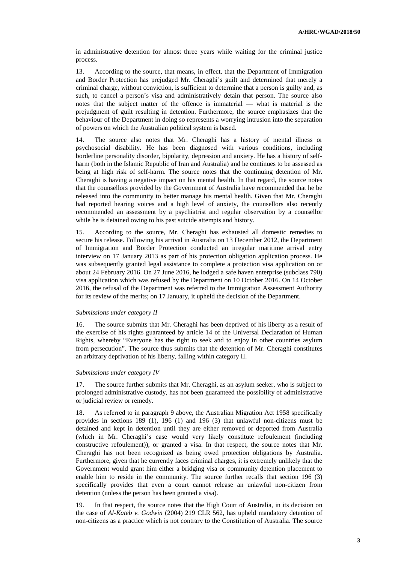in administrative detention for almost three years while waiting for the criminal justice process.

13. According to the source, that means, in effect, that the Department of Immigration and Border Protection has prejudged Mr. Cheraghi's guilt and determined that merely a criminal charge, without conviction, is sufficient to determine that a person is guilty and, as such, to cancel a person's visa and administratively detain that person. The source also notes that the subject matter of the offence is immaterial — what is material is the prejudgment of guilt resulting in detention. Furthermore, the source emphasizes that the behaviour of the Department in doing so represents a worrying intrusion into the separation of powers on which the Australian political system is based.

14. The source also notes that Mr. Cheraghi has a history of mental illness or psychosocial disability. He has been diagnosed with various conditions, including borderline personality disorder, bipolarity, depression and anxiety. He has a history of selfharm (both in the Islamic Republic of Iran and Australia) and he continues to be assessed as being at high risk of self-harm. The source notes that the continuing detention of Mr. Cheraghi is having a negative impact on his mental health. In that regard, the source notes that the counsellors provided by the Government of Australia have recommended that he be released into the community to better manage his mental health. Given that Mr. Cheraghi had reported hearing voices and a high level of anxiety, the counsellors also recently recommended an assessment by a psychiatrist and regular observation by a counsellor while he is detained owing to his past suicide attempts and history.

15. According to the source, Mr. Cheraghi has exhausted all domestic remedies to secure his release. Following his arrival in Australia on 13 December 2012, the Department of Immigration and Border Protection conducted an irregular maritime arrival entry interview on 17 January 2013 as part of his protection obligation application process. He was subsequently granted legal assistance to complete a protection visa application on or about 24 February 2016. On 27 June 2016, he lodged a safe haven enterprise (subclass 790) visa application which was refused by the Department on 10 October 2016. On 14 October 2016, the refusal of the Department was referred to the Immigration Assessment Authority for its review of the merits; on 17 January, it upheld the decision of the Department.

#### *Submissions under category II*

16. The source submits that Mr. Cheraghi has been deprived of his liberty as a result of the exercise of his rights guaranteed by article 14 of the Universal Declaration of Human Rights, whereby "Everyone has the right to seek and to enjoy in other countries asylum from persecution". The source thus submits that the detention of Mr. Cheraghi constitutes an arbitrary deprivation of his liberty, falling within category II.

#### *Submissions under category IV*

17. The source further submits that Mr. Cheraghi, as an asylum seeker, who is subject to prolonged administrative custody, has not been guaranteed the possibility of administrative or judicial review or remedy.

18. As referred to in paragraph 9 above, the Australian Migration Act 1958 specifically provides in sections 189 (1), 196 (1) and 196 (3) that unlawful non-citizens must be detained and kept in detention until they are either removed or deported from Australia (which in Mr. Cheraghi's case would very likely constitute refoulement (including constructive refoulement)), or granted a visa. In that respect, the source notes that Mr. Cheraghi has not been recognized as being owed protection obligations by Australia. Furthermore, given that he currently faces criminal charges, it is extremely unlikely that the Government would grant him either a bridging visa or community detention placement to enable him to reside in the community. The source further recalls that section 196 (3) specifically provides that even a court cannot release an unlawful non-citizen from detention (unless the person has been granted a visa).

19. In that respect, the source notes that the High Court of Australia, in its decision on the case of *Al-Kateb v. Godwin* (2004) 219 CLR 562, has upheld mandatory detention of non-citizens as a practice which is not contrary to the Constitution of Australia. The source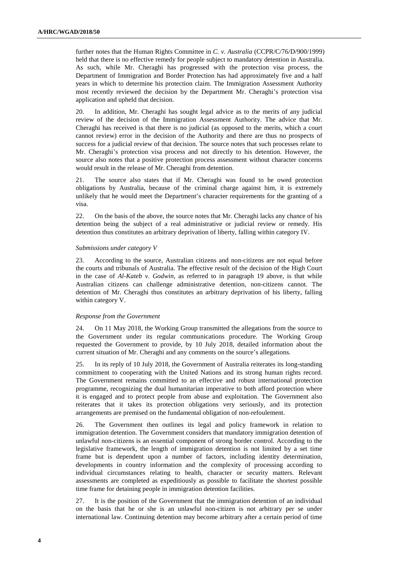further notes that the Human Rights Committee in *C. v. Australia* (CCPR/C/76/D/900/1999) held that there is no effective remedy for people subject to mandatory detention in Australia. As such, while Mr. Cheraghi has progressed with the protection visa process, the Department of Immigration and Border Protection has had approximately five and a half years in which to determine his protection claim. The Immigration Assessment Authority most recently reviewed the decision by the Department Mr. Cheraghi's protection visa application and upheld that decision.

20. In addition, Mr. Cheraghi has sought legal advice as to the merits of any judicial review of the decision of the Immigration Assessment Authority. The advice that Mr. Cheraghi has received is that there is no judicial (as opposed to the merits, which a court cannot review) error in the decision of the Authority and there are thus no prospects of success for a judicial review of that decision. The source notes that such processes relate to Mr. Cheraghi's protection visa process and not directly to his detention. However, the source also notes that a positive protection process assessment without character concerns would result in the release of Mr. Cheraghi from detention.

21. The source also states that if Mr. Cheraghi was found to be owed protection obligations by Australia, because of the criminal charge against him, it is extremely unlikely that he would meet the Department's character requirements for the granting of a visa.

22. On the basis of the above, the source notes that Mr. Cheraghi lacks any chance of his detention being the subject of a real administrative or judicial review or remedy. His detention thus constitutes an arbitrary deprivation of liberty, falling within category IV.

#### *Submissions under category V*

23. According to the source, Australian citizens and non-citizens are not equal before the courts and tribunals of Australia. The effective result of the decision of the High Court in the case of *Al-Kateb v. Godwin*, as referred to in paragraph 19 above, is that while Australian citizens can challenge administrative detention, non-citizens cannot. The detention of Mr. Cheraghi thus constitutes an arbitrary deprivation of his liberty, falling within category V.

### *Response from the Government*

24. On 11 May 2018, the Working Group transmitted the allegations from the source to the Government under its regular communications procedure. The Working Group requested the Government to provide, by 10 July 2018, detailed information about the current situation of Mr. Cheraghi and any comments on the source's allegations.

25. In its reply of 10 July 2018, the Government of Australia reiterates its long-standing commitment to cooperating with the United Nations and its strong human rights record. The Government remains committed to an effective and robust international protection programme, recognizing the dual humanitarian imperative to both afford protection where it is engaged and to protect people from abuse and exploitation. The Government also reiterates that it takes its protection obligations very seriously, and its protection arrangements are premised on the fundamental obligation of non-refoulement.

26. The Government then outlines its legal and policy framework in relation to immigration detention. The Government considers that mandatory immigration detention of unlawful non-citizens is an essential component of strong border control. According to the legislative framework, the length of immigration detention is not limited by a set time frame but is dependent upon a number of factors, including identity determination, developments in country information and the complexity of processing according to individual circumstances relating to health, character or security matters. Relevant assessments are completed as expeditiously as possible to facilitate the shortest possible time frame for detaining people in immigration detention facilities.

27. It is the position of the Government that the immigration detention of an individual on the basis that he or she is an unlawful non-citizen is not arbitrary per se under international law. Continuing detention may become arbitrary after a certain period of time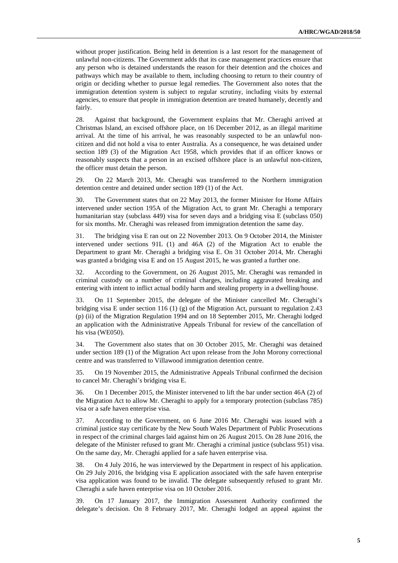without proper justification. Being held in detention is a last resort for the management of unlawful non-citizens. The Government adds that its case management practices ensure that any person who is detained understands the reason for their detention and the choices and pathways which may be available to them, including choosing to return to their country of origin or deciding whether to pursue legal remedies. The Government also notes that the immigration detention system is subject to regular scrutiny, including visits by external agencies, to ensure that people in immigration detention are treated humanely, decently and fairly.

28. Against that background, the Government explains that Mr. Cheraghi arrived at Christmas Island, an excised offshore place, on 16 December 2012, as an illegal maritime arrival. At the time of his arrival, he was reasonably suspected to be an unlawful noncitizen and did not hold a visa to enter Australia. As a consequence, he was detained under section 189 (3) of the Migration Act 1958, which provides that if an officer knows or reasonably suspects that a person in an excised offshore place is an unlawful non-citizen, the officer must detain the person.

29. On 22 March 2013, Mr. Cheraghi was transferred to the Northern immigration detention centre and detained under section 189 (1) of the Act.

30. The Government states that on 22 May 2013, the former Minister for Home Affairs intervened under section 195A of the Migration Act, to grant Mr. Cheraghi a temporary humanitarian stay (subclass 449) visa for seven days and a bridging visa E (subclass 050) for six months. Mr. Cheraghi was released from immigration detention the same day.

31. The bridging visa E ran out on 22 November 2013. On 9 October 2014, the Minister intervened under sections 91L (1) and 46A (2) of the Migration Act to enable the Department to grant Mr. Cheraghi a bridging visa E. On 31 October 2014, Mr. Cheraghi was granted a bridging visa E and on 15 August 2015, he was granted a further one.

32. According to the Government, on 26 August 2015, Mr. Cheraghi was remanded in criminal custody on a number of criminal charges, including aggravated breaking and entering with intent to inflict actual bodily harm and stealing property in a dwelling/house.

33. On 11 September 2015, the delegate of the Minister cancelled Mr. Cheraghi's bridging visa E under section 116 (1) (g) of the Migration Act, pursuant to regulation 2.43 (p) (ii) of the Migration Regulation 1994 and on 18 September 2015, Mr. Cheraghi lodged an application with the Administrative Appeals Tribunal for review of the cancellation of his visa (WE050).

34. The Government also states that on 30 October 2015, Mr. Cheraghi was detained under section 189 (1) of the Migration Act upon release from the John Morony correctional centre and was transferred to Villawood immigration detention centre.

35. On 19 November 2015, the Administrative Appeals Tribunal confirmed the decision to cancel Mr. Cheraghi's bridging visa E.

36. On 1 December 2015, the Minister intervened to lift the bar under section 46A (2) of the Migration Act to allow Mr. Cheraghi to apply for a temporary protection (subclass 785) visa or a safe haven enterprise visa.

37. According to the Government, on 6 June 2016 Mr. Cheraghi was issued with a criminal justice stay certificate by the New South Wales Department of Public Prosecutions in respect of the criminal charges laid against him on 26 August 2015. On 28 June 2016, the delegate of the Minister refused to grant Mr. Cheraghi a criminal justice (subclass 951) visa. On the same day, Mr. Cheraghi applied for a safe haven enterprise visa.

38. On 4 July 2016, he was interviewed by the Department in respect of his application. On 29 July 2016, the bridging visa E application associated with the safe haven enterprise visa application was found to be invalid. The delegate subsequently refused to grant Mr. Cheraghi a safe haven enterprise visa on 10 October 2016.

39. On 17 January 2017, the Immigration Assessment Authority confirmed the delegate's decision. On 8 February 2017, Mr. Cheraghi lodged an appeal against the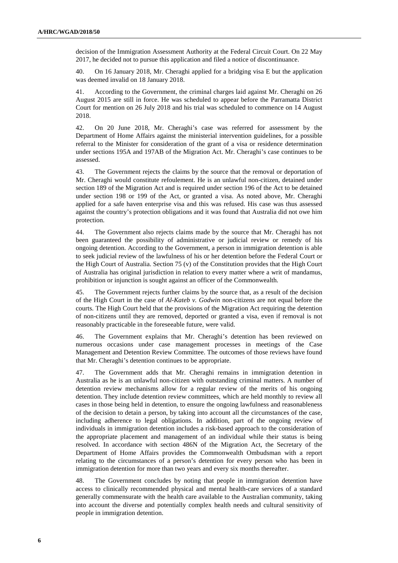decision of the Immigration Assessment Authority at the Federal Circuit Court. On 22 May 2017, he decided not to pursue this application and filed a notice of discontinuance.

40. On 16 January 2018, Mr. Cheraghi applied for a bridging visa E but the application was deemed invalid on 18 January 2018.

41. According to the Government, the criminal charges laid against Mr. Cheraghi on 26 August 2015 are still in force. He was scheduled to appear before the Parramatta District Court for mention on 26 July 2018 and his trial was scheduled to commence on 14 August 2018.

42. On 20 June 2018, Mr. Cheraghi's case was referred for assessment by the Department of Home Affairs against the ministerial intervention guidelines, for a possible referral to the Minister for consideration of the grant of a visa or residence determination under sections 195A and 197AB of the Migration Act. Mr. Cheraghi's case continues to be assessed.

43. The Government rejects the claims by the source that the removal or deportation of Mr. Cheraghi would constitute refoulement. He is an unlawful non-citizen, detained under section 189 of the Migration Act and is required under section 196 of the Act to be detained under section 198 or 199 of the Act, or granted a visa. As noted above, Mr. Cheraghi applied for a safe haven enterprise visa and this was refused. His case was thus assessed against the country's protection obligations and it was found that Australia did not owe him protection.

44. The Government also rejects claims made by the source that Mr. Cheraghi has not been guaranteed the possibility of administrative or judicial review or remedy of his ongoing detention. According to the Government, a person in immigration detention is able to seek judicial review of the lawfulness of his or her detention before the Federal Court or the High Court of Australia. Section 75 (v) of the Constitution provides that the High Court of Australia has original jurisdiction in relation to every matter where a writ of mandamus, prohibition or injunction is sought against an officer of the Commonwealth.

45. The Government rejects further claims by the source that, as a result of the decision of the High Court in the case of *Al-Kateb v. Godwin* non-citizens are not equal before the courts. The High Court held that the provisions of the Migration Act requiring the detention of non-citizens until they are removed, deported or granted a visa, even if removal is not reasonably practicable in the foreseeable future, were valid.

46. The Government explains that Mr. Cheraghi's detention has been reviewed on numerous occasions under case management processes in meetings of the Case Management and Detention Review Committee. The outcomes of those reviews have found that Mr. Cheraghi's detention continues to be appropriate.

47. The Government adds that Mr. Cheraghi remains in immigration detention in Australia as he is an unlawful non-citizen with outstanding criminal matters. A number of detention review mechanisms allow for a regular review of the merits of his ongoing detention. They include detention review committees, which are held monthly to review all cases in those being held in detention, to ensure the ongoing lawfulness and reasonableness of the decision to detain a person, by taking into account all the circumstances of the case, including adherence to legal obligations. In addition, part of the ongoing review of individuals in immigration detention includes a risk-based approach to the consideration of the appropriate placement and management of an individual while their status is being resolved. In accordance with section 486N of the Migration Act, the Secretary of the Department of Home Affairs provides the Commonwealth Ombudsman with a report relating to the circumstances of a person's detention for every person who has been in immigration detention for more than two years and every six months thereafter.

48. The Government concludes by noting that people in immigration detention have access to clinically recommended physical and mental health-care services of a standard generally commensurate with the health care available to the Australian community, taking into account the diverse and potentially complex health needs and cultural sensitivity of people in immigration detention.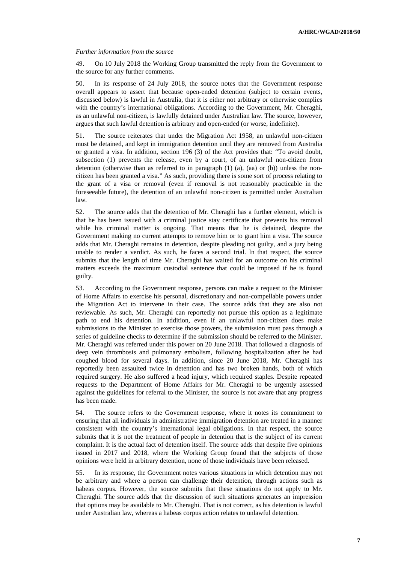#### *Further information from the source*

49. On 10 July 2018 the Working Group transmitted the reply from the Government to the source for any further comments.

50. In its response of 24 July 2018, the source notes that the Government response overall appears to assert that because open-ended detention (subject to certain events, discussed below) is lawful in Australia, that it is either not arbitrary or otherwise complies with the country's international obligations. According to the Government, Mr. Cheraghi, as an unlawful non-citizen, is lawfully detained under Australian law. The source, however, argues that such lawful detention is arbitrary and open-ended (or worse, indefinite).

51. The source reiterates that under the Migration Act 1958, an unlawful non-citizen must be detained, and kept in immigration detention until they are removed from Australia or granted a visa. In addition, section 196 (3) of the Act provides that: "To avoid doubt, subsection (1) prevents the release, even by a court, of an unlawful non-citizen from detention (otherwise than as referred to in paragraph  $(1)$   $(a)$ ,  $(aa)$  or  $(b)$ ) unless the noncitizen has been granted a visa." As such, providing there is some sort of process relating to the grant of a visa or removal (even if removal is not reasonably practicable in the foreseeable future), the detention of an unlawful non-citizen is permitted under Australian law.

52. The source adds that the detention of Mr. Cheraghi has a further element, which is that he has been issued with a criminal justice stay certificate that prevents his removal while his criminal matter is ongoing. That means that he is detained, despite the Government making no current attempts to remove him or to grant him a visa. The source adds that Mr. Cheraghi remains in detention, despite pleading not guilty, and a jury being unable to render a verdict. As such, he faces a second trial. In that respect, the source submits that the length of time Mr. Cheraghi has waited for an outcome on his criminal matters exceeds the maximum custodial sentence that could be imposed if he is found guilty.

53. According to the Government response, persons can make a request to the Minister of Home Affairs to exercise his personal, discretionary and non-compellable powers under the Migration Act to intervene in their case. The source adds that they are also not reviewable. As such, Mr. Cheraghi can reportedly not pursue this option as a legitimate path to end his detention. In addition, even if an unlawful non-citizen does make submissions to the Minister to exercise those powers, the submission must pass through a series of guideline checks to determine if the submission should be referred to the Minister. Mr. Cheraghi was referred under this power on 20 June 2018. That followed a diagnosis of deep vein thrombosis and pulmonary embolism, following hospitalization after he had coughed blood for several days. In addition, since 20 June 2018, Mr. Cheraghi has reportedly been assaulted twice in detention and has two broken hands, both of which required surgery. He also suffered a head injury, which required staples. Despite repeated requests to the Department of Home Affairs for Mr. Cheraghi to be urgently assessed against the guidelines for referral to the Minister, the source is not aware that any progress has been made.

54. The source refers to the Government response, where it notes its commitment to ensuring that all individuals in administrative immigration detention are treated in a manner consistent with the country's international legal obligations. In that respect, the source submits that it is not the treatment of people in detention that is the subject of its current complaint. It is the actual fact of detention itself. The source adds that despite five opinions issued in 2017 and 2018, where the Working Group found that the subjects of those opinions were held in arbitrary detention, none of those individuals have been released.

55. In its response, the Government notes various situations in which detention may not be arbitrary and where a person can challenge their detention, through actions such as habeas corpus. However, the source submits that these situations do not apply to Mr. Cheraghi. The source adds that the discussion of such situations generates an impression that options may be available to Mr. Cheraghi. That is not correct, as his detention is lawful under Australian law, whereas a habeas corpus action relates to unlawful detention.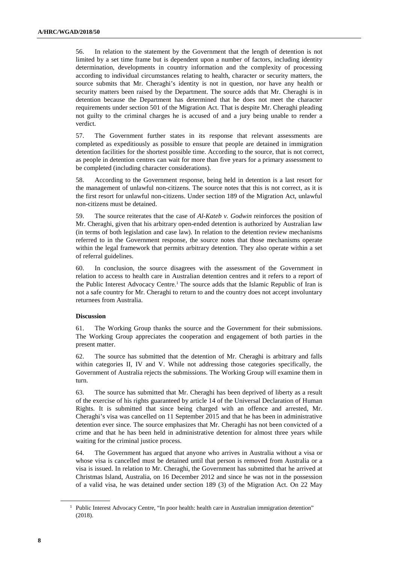56. In relation to the statement by the Government that the length of detention is not limited by a set time frame but is dependent upon a number of factors, including identity determination, developments in country information and the complexity of processing according to individual circumstances relating to health, character or security matters, the source submits that Mr. Cheraghi's identity is not in question, nor have any health or security matters been raised by the Department. The source adds that Mr. Cheraghi is in detention because the Department has determined that he does not meet the character requirements under section 501 of the Migration Act. That is despite Mr. Cheraghi pleading not guilty to the criminal charges he is accused of and a jury being unable to render a verdict.

57. The Government further states in its response that relevant assessments are completed as expeditiously as possible to ensure that people are detained in immigration detention facilities for the shortest possible time. According to the source, that is not correct, as people in detention centres can wait for more than five years for a primary assessment to be completed (including character considerations).

58. According to the Government response, being held in detention is a last resort for the management of unlawful non-citizens. The source notes that this is not correct, as it is the first resort for unlawful non-citizens. Under section 189 of the Migration Act, unlawful non-citizens must be detained.

59. The source reiterates that the case of *Al-Kateb v. Godwin* reinforces the position of Mr. Cheraghi, given that his arbitrary open-ended detention is authorized by Australian law (in terms of both legislation and case law). In relation to the detention review mechanisms referred to in the Government response, the source notes that those mechanisms operate within the legal framework that permits arbitrary detention. They also operate within a set of referral guidelines.

60. In conclusion, the source disagrees with the assessment of the Government in relation to access to health care in Australian detention centres and it refers to a report of the Public Interest Advocacy Centre.<sup>1</sup> The source adds that the Islamic Republic of Iran is not a safe country for Mr. Cheraghi to return to and the country does not accept involuntary returnees from Australia.

#### **Discussion**

61. The Working Group thanks the source and the Government for their submissions. The Working Group appreciates the cooperation and engagement of both parties in the present matter.

62. The source has submitted that the detention of Mr. Cheraghi is arbitrary and falls within categories II, IV and V. While not addressing those categories specifically, the Government of Australia rejects the submissions. The Working Group will examine them in turn.

63. The source has submitted that Mr. Cheraghi has been deprived of liberty as a result of the exercise of his rights guaranteed by article 14 of the Universal Declaration of Human Rights. It is submitted that since being charged with an offence and arrested, Mr. Cheraghi's visa was cancelled on 11 September 2015 and that he has been in administrative detention ever since. The source emphasizes that Mr. Cheraghi has not been convicted of a crime and that he has been held in administrative detention for almost three years while waiting for the criminal justice process.

64. The Government has argued that anyone who arrives in Australia without a visa or whose visa is cancelled must be detained until that person is removed from Australia or a visa is issued. In relation to Mr. Cheraghi, the Government has submitted that he arrived at Christmas Island, Australia, on 16 December 2012 and since he was not in the possession of a valid visa, he was detained under section 189 (3) of the Migration Act. On 22 May

<sup>&</sup>lt;sup>1</sup> Public Interest Advocacy Centre, "In poor health: health care in Australian immigration detention" (2018).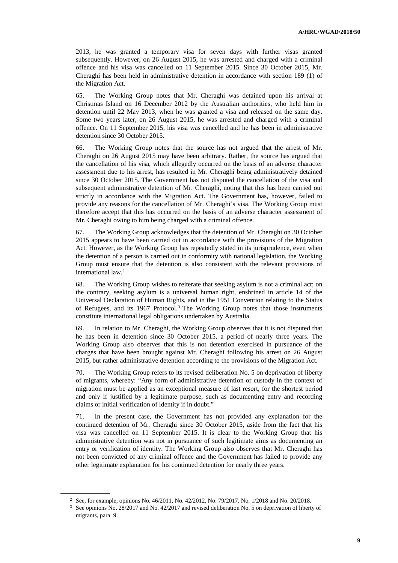2013, he was granted a temporary visa for seven days with further visas granted subsequently. However, on 26 August 2015, he was arrested and charged with a criminal offence and his visa was cancelled on 11 September 2015. Since 30 October 2015, Mr. Cheraghi has been held in administrative detention in accordance with section 189 (1) of the Migration Act.

65. The Working Group notes that Mr. Cheraghi was detained upon his arrival at Christmas Island on 16 December 2012 by the Australian authorities, who held him in detention until 22 May 2013, when he was granted a visa and released on the same day. Some two years later, on 26 August 2015, he was arrested and charged with a criminal offence. On 11 September 2015, his visa was cancelled and he has been in administrative detention since 30 October 2015.

66. The Working Group notes that the source has not argued that the arrest of Mr. Cheraghi on 26 August 2015 may have been arbitrary. Rather, the source has argued that the cancellation of his visa, which allegedly occurred on the basis of an adverse character assessment due to his arrest, has resulted in Mr. Cheraghi being administratively detained since 30 October 2015. The Government has not disputed the cancellation of the visa and subsequent administrative detention of Mr. Cheraghi, noting that this has been carried out strictly in accordance with the Migration Act. The Government has, however, failed to provide any reasons for the cancellation of Mr. Cheraghi's visa. The Working Group must therefore accept that this has occurred on the basis of an adverse character assessment of Mr. Cheraghi owing to him being charged with a criminal offence.

67. The Working Group acknowledges that the detention of Mr. Cheraghi on 30 October 2015 appears to have been carried out in accordance with the provisions of the Migration Act. However, as the Working Group has repeatedly stated in its jurisprudence, even when the detention of a person is carried out in conformity with national legislation, the Working Group must ensure that the detention is also consistent with the relevant provisions of international law.<sup>2</sup>

68. The Working Group wishes to reiterate that seeking asylum is not a criminal act; on the contrary, seeking asylum is a universal human right, enshrined in article 14 of the Universal Declaration of Human Rights, and in the 1951 Convention relating to the Status of Refugees, and its 1967 Protocol.<sup>3</sup> The Working Group notes that those instruments constitute international legal obligations undertaken by Australia.

69. In relation to Mr. Cheraghi, the Working Group observes that it is not disputed that he has been in detention since 30 October 2015, a period of nearly three years. The Working Group also observes that this is not detention exercised in pursuance of the charges that have been brought against Mr. Cheraghi following his arrest on 26 August 2015, but rather administrative detention according to the provisions of the Migration Act.

70. The Working Group refers to its revised deliberation No. 5 on deprivation of liberty of migrants, whereby: "Any form of administrative detention or custody in the context of migration must be applied as an exceptional measure of last resort, for the shortest period and only if justified by a legitimate purpose, such as documenting entry and recording claims or initial verification of identity if in doubt."

71. In the present case, the Government has not provided any explanation for the continued detention of Mr. Cheraghi since 30 October 2015, aside from the fact that his visa was cancelled on 11 September 2015. It is clear to the Working Group that his administrative detention was not in pursuance of such legitimate aims as documenting an entry or verification of identity. The Working Group also observes that Mr. Cheraghi has not been convicted of any criminal offence and the Government has failed to provide any other legitimate explanation for his continued detention for nearly three years.

<sup>2</sup> See, for example, opinions No. 46/2011, No. 42/2012, No. 79/2017, No. 1/2018 and No. 20/2018.

<sup>3</sup> See opinions No. 28/2017 and No. 42/2017 and revised deliberation No. 5 on deprivation of liberty of migrants, para. 9.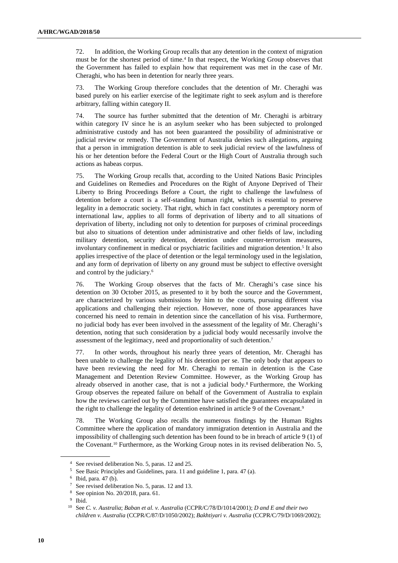72. In addition, the Working Group recalls that any detention in the context of migration must be for the shortest period of time.<sup>4</sup> In that respect, the Working Group observes that the Government has failed to explain how that requirement was met in the case of Mr. Cheraghi, who has been in detention for nearly three years.

73. The Working Group therefore concludes that the detention of Mr. Cheraghi was based purely on his earlier exercise of the legitimate right to seek asylum and is therefore arbitrary, falling within category II.

74. The source has further submitted that the detention of Mr. Cheraghi is arbitrary within category IV since he is an asylum seeker who has been subjected to prolonged administrative custody and has not been guaranteed the possibility of administrative or judicial review or remedy. The Government of Australia denies such allegations, arguing that a person in immigration detention is able to seek judicial review of the lawfulness of his or her detention before the Federal Court or the High Court of Australia through such actions as habeas corpus.

75. The Working Group recalls that, according to the United Nations Basic Principles and Guidelines on Remedies and Procedures on the Right of Anyone Deprived of Their Liberty to Bring Proceedings Before a Court, the right to challenge the lawfulness of detention before a court is a self-standing human right, which is essential to preserve legality in a democratic society. That right, which in fact constitutes a peremptory norm of international law, applies to all forms of deprivation of liberty and to all situations of deprivation of liberty, including not only to detention for purposes of criminal proceedings but also to situations of detention under administrative and other fields of law, including military detention, security detention, detention under counter-terrorism measures, involuntary confinement in medical or psychiatric facilities and migration detention.<sup>5</sup> It also applies irrespective of the place of detention or the legal terminology used in the legislation, and any form of deprivation of liberty on any ground must be subject to effective oversight and control by the judiciary.<sup>6</sup>

76. The Working Group observes that the facts of Mr. Cheraghi's case since his detention on 30 October 2015, as presented to it by both the source and the Government, are characterized by various submissions by him to the courts, pursuing different visa applications and challenging their rejection. However, none of those appearances have concerned his need to remain in detention since the cancellation of his visa. Furthermore, no judicial body has ever been involved in the assessment of the legality of Mr. Cheraghi's detention, noting that such consideration by a judicial body would necessarily involve the assessment of the legitimacy, need and proportionality of such detention.<sup>7</sup>

77. In other words, throughout his nearly three years of detention, Mr. Cheraghi has been unable to challenge the legality of his detention per se. The only body that appears to have been reviewing the need for Mr. Cheraghi to remain in detention is the Case Management and Detention Review Committee. However, as the Working Group has already observed in another case, that is not a judicial body.<sup>8</sup> Furthermore, the Working Group observes the repeated failure on behalf of the Government of Australia to explain how the reviews carried out by the Committee have satisfied the guarantees encapsulated in the right to challenge the legality of detention enshrined in article 9 of the Covenant.<sup>9</sup>

78. The Working Group also recalls the numerous findings by the Human Rights Committee where the application of mandatory immigration detention in Australia and the impossibility of challenging such detention has been found to be in breach of article 9 (1) of the Covenant.10 Furthermore, as the Working Group notes in its revised deliberation No. 5,

<sup>4</sup> See revised deliberation No. 5, paras. 12 and 25.

<sup>5</sup> See Basic Principles and Guidelines, para. 11 and guideline 1, para. 47 (a).

<sup>6</sup> Ibid, para. 47 (b).

<sup>7</sup> See revised deliberation No. 5, paras. 12 and 13.

<sup>8</sup> See opinion No. 20/2018, para. 61.

<sup>9</sup> Ibid.

<sup>10</sup> See *C. v. Australia*; *Baban et al. v. Australia* (CCPR/C/78/D/1014/2001); *D and E and their two children v. Australia* (CCPR/C/87/D/1050/2002); *Bakhtiyari v. Australia* (CCPR/C/79/D/1069/2002);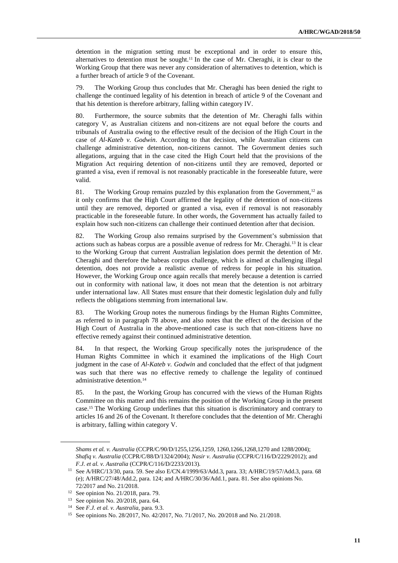detention in the migration setting must be exceptional and in order to ensure this, alternatives to detention must be sought.<sup>11</sup> In the case of Mr. Cheraghi, it is clear to the Working Group that there was never any consideration of alternatives to detention, which is a further breach of article 9 of the Covenant.

79. The Working Group thus concludes that Mr. Cheraghi has been denied the right to challenge the continued legality of his detention in breach of article 9 of the Covenant and that his detention is therefore arbitrary, falling within category IV.

80. Furthermore, the source submits that the detention of Mr. Cheraghi falls within category V, as Australian citizens and non-citizens are not equal before the courts and tribunals of Australia owing to the effective result of the decision of the High Court in the case of *Al-Kateb v. Godwin*. According to that decision, while Australian citizens can challenge administrative detention, non-citizens cannot. The Government denies such allegations, arguing that in the case cited the High Court held that the provisions of the Migration Act requiring detention of non-citizens until they are removed, deported or granted a visa, even if removal is not reasonably practicable in the foreseeable future, were valid.

81. The Working Group remains puzzled by this explanation from the Government, $12$  as it only confirms that the High Court affirmed the legality of the detention of non-citizens until they are removed, deported or granted a visa, even if removal is not reasonably practicable in the foreseeable future. In other words, the Government has actually failed to explain how such non-citizens can challenge their continued detention after that decision.

82. The Working Group also remains surprised by the Government's submission that actions such as habeas corpus are a possible avenue of redress for Mr. Cheraghi.13 It is clear to the Working Group that current Australian legislation does permit the detention of Mr. Cheraghi and therefore the habeas corpus challenge, which is aimed at challenging illegal detention, does not provide a realistic avenue of redress for people in his situation. However, the Working Group once again recalls that merely because a detention is carried out in conformity with national law, it does not mean that the detention is not arbitrary under international law. All States must ensure that their domestic legislation duly and fully reflects the obligations stemming from international law.

83. The Working Group notes the numerous findings by the Human Rights Committee, as referred to in paragraph 78 above, and also notes that the effect of the decision of the High Court of Australia in the above-mentioned case is such that non-citizens have no effective remedy against their continued administrative detention.

84. In that respect, the Working Group specifically notes the jurisprudence of the Human Rights Committee in which it examined the implications of the High Court judgment in the case of *Al-Kateb v. Godwin* and concluded that the effect of that judgment was such that there was no effective remedy to challenge the legality of continued administrative detention.<sup>14</sup>

85. In the past, the Working Group has concurred with the views of the Human Rights Committee on this matter and this remains the position of the Working Group in the present case.15 The Working Group underlines that this situation is discriminatory and contrary to articles 16 and 26 of the Covenant. It therefore concludes that the detention of Mr. Cheraghi is arbitrary, falling within category V.

*Shams et al. v. Australia* (CCPR/C/90/D/1255,1256,1259, 1260,1266,1268,1270 and 1288/2004); *Shafiq v. Australia* (CCPR/C/88/D/1324/2004); *Nasir v. Australia* (CCPR/C/116/D/2229/2012); and *F.J. et al. v. Australia* (CCPR/C/116/D/2233/2013).

<sup>11</sup> See A/HRC/13/30, para. 59. See also E/CN.4/1999/63/Add.3, para. 33; A/HRC/19/57/Add.3, para. 68 (e); A/HRC/27/48/Add.2, para. 124; and A/HRC/30/36/Add.1, para. 81. See also opinions No. 72/2017 and No. 21/2018.

<sup>12</sup> See opinion No. 21/2018, para. 79.

<sup>13</sup> See opinion No. 20/2018, para. 64.

<sup>14</sup> See *F.J. et al. v. Australia*, para. 9.3.

<sup>15</sup> See opinions No. 28/2017, No. 42/2017, No. 71/2017, No. 20/2018 and No. 21/2018.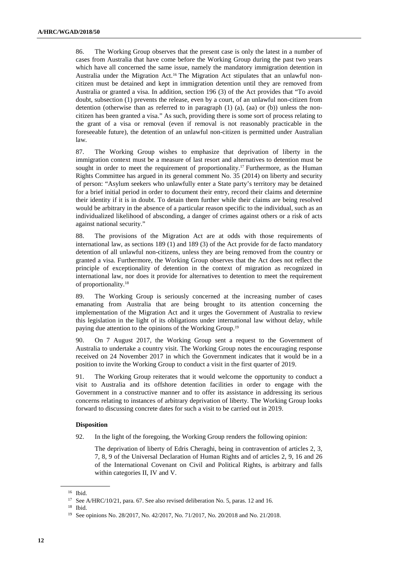86. The Working Group observes that the present case is only the latest in a number of cases from Australia that have come before the Working Group during the past two years which have all concerned the same issue, namely the mandatory immigration detention in Australia under the Migration Act.16 The Migration Act stipulates that an unlawful noncitizen must be detained and kept in immigration detention until they are removed from Australia or granted a visa. In addition, section 196 (3) of the Act provides that "To avoid doubt, subsection (1) prevents the release, even by a court, of an unlawful non-citizen from detention (otherwise than as referred to in paragraph  $(1)$   $(a)$ ,  $(aa)$  or  $(b)$ ) unless the noncitizen has been granted a visa." As such, providing there is some sort of process relating to the grant of a visa or removal (even if removal is not reasonably practicable in the foreseeable future), the detention of an unlawful non-citizen is permitted under Australian law.

87. The Working Group wishes to emphasize that deprivation of liberty in the immigration context must be a measure of last resort and alternatives to detention must be sought in order to meet the requirement of proportionality.<sup>17</sup> Furthermore, as the Human Rights Committee has argued in its general comment No. 35 (2014) on liberty and security of person: "Asylum seekers who unlawfully enter a State party's territory may be detained for a brief initial period in order to document their entry, record their claims and determine their identity if it is in doubt. To detain them further while their claims are being resolved would be arbitrary in the absence of a particular reason specific to the individual, such as an individualized likelihood of absconding, a danger of crimes against others or a risk of acts against national security."

88. The provisions of the Migration Act are at odds with those requirements of international law, as sections 189 (1) and 189 (3) of the Act provide for de facto mandatory detention of all unlawful non-citizens, unless they are being removed from the country or granted a visa. Furthermore, the Working Group observes that the Act does not reflect the principle of exceptionality of detention in the context of migration as recognized in international law, nor does it provide for alternatives to detention to meet the requirement of proportionality.<sup>18</sup>

89. The Working Group is seriously concerned at the increasing number of cases emanating from Australia that are being brought to its attention concerning the implementation of the Migration Act and it urges the Government of Australia to review this legislation in the light of its obligations under international law without delay, while paying due attention to the opinions of the Working Group.<sup>19</sup>

90. On 7 August 2017, the Working Group sent a request to the Government of Australia to undertake a country visit. The Working Group notes the encouraging response received on 24 November 2017 in which the Government indicates that it would be in a position to invite the Working Group to conduct a visit in the first quarter of 2019.

91. The Working Group reiterates that it would welcome the opportunity to conduct a visit to Australia and its offshore detention facilities in order to engage with the Government in a constructive manner and to offer its assistance in addressing its serious concerns relating to instances of arbitrary deprivation of liberty. The Working Group looks forward to discussing concrete dates for such a visit to be carried out in 2019.

#### **Disposition**

92. In the light of the foregoing, the Working Group renders the following opinion:

The deprivation of liberty of Edris Cheraghi, being in contravention of articles 2, 3, 7, 8, 9 of the Universal Declaration of Human Rights and of articles 2, 9, 16 and 26 of the International Covenant on Civil and Political Rights, is arbitrary and falls within categories II, IV and V.

<sup>16</sup> Ibid.

<sup>&</sup>lt;sup>17</sup> See A/HRC/10/21, para. 67. See also revised deliberation No. 5, paras. 12 and 16.

<sup>18</sup> Ibid.

<sup>19</sup> See opinions No. 28/2017, No. 42/2017, No. 71/2017, No. 20/2018 and No. 21/2018.